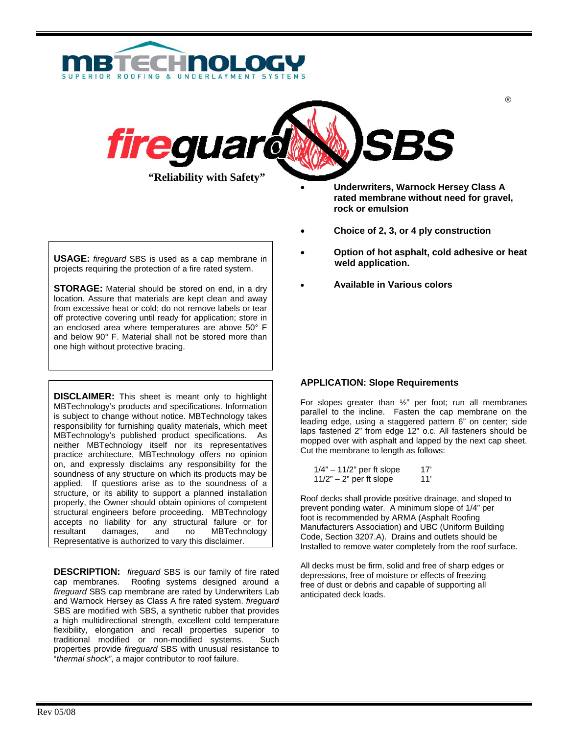



**USAGE:** *fireguard* SBS is used as a cap membrane in projects requiring the protection of a fire rated system.

**STORAGE:** Material should be stored on end, in a dry location. Assure that materials are kept clean and away from excessive heat or cold; do not remove labels or tear off protective covering until ready for application; store in an enclosed area where temperatures are above 50° F and below 90° F. Material shall not be stored more than one high without protective bracing.

**DISCLAIMER:** This sheet is meant only to highlight MBTechnology's products and specifications. Information is subject to change without notice. MBTechnology takes responsibility for furnishing quality materials, which meet MBTechnology's published product specifications. As neither MBTechnology itself nor its representatives practice architecture, MBTechnology offers no opinion on, and expressly disclaims any responsibility for the soundness of any structure on which its products may be applied. If questions arise as to the soundness of a structure, or its ability to support a planned installation properly, the Owner should obtain opinions of competent structural engineers before proceeding. MBTechnology accepts no liability for any structural failure or for resultant damages, and no MBTechnology Representative is authorized to vary this disclaimer.

**DESCRIPTION:** *fireguard* SBS is our family of fire rated cap membranes. Roofing systems designed around a *fireguard* SBS cap membrane are rated by Underwriters Lab and Warnock Hersey as Class A fire rated system. *fireguard* SBS are modified with SBS, a synthetic rubber that provides a high multidirectional strength, excellent cold temperature flexibility, elongation and recall properties superior to traditional modified or non-modified systems. Such properties provide *fireguard* SBS with unusual resistance to "*thermal shock"*, a major contributor to roof failure.

- **Underwriters, Warnock Hersey Class A rated membrane without need for gravel, rock or emulsion**
- **Choice of 2, 3, or 4 ply construction**
- **Option of hot asphalt, cold adhesive or heat weld application.**
- **Available in Various colors**

# **APPLICATION: Slope Requirements**

For slopes greater than ½" per foot; run all membranes parallel to the incline. Fasten the cap membrane on the leading edge, using a staggered pattern 6" on center; side laps fastened 2" from edge 12" o.c. All fasteners should be mopped over with asphalt and lapped by the next cap sheet. Cut the membrane to length as follows:

| $1/4" - 11/2"$ per ft slope | 17' |
|-----------------------------|-----|
| $11/2"$ – 2" per ft slope   | 11' |

Roof decks shall provide positive drainage, and sloped to prevent ponding water. A minimum slope of 1/4" per foot is recommended by ARMA (Asphalt Roofing Manufacturers Association) and UBC (Uniform Building Code, Section 3207.A). Drains and outlets should be Installed to remove water completely from the roof surface.

All decks must be firm, solid and free of sharp edges or depressions, free of moisture or effects of freezing free of dust or debris and capable of supporting all anticipated deck loads.